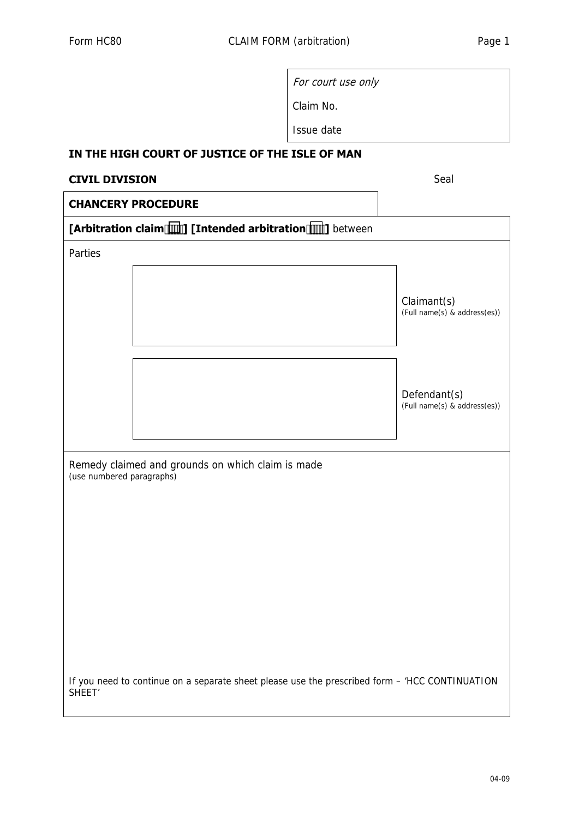| For court use only |
|--------------------|
| Claim No.          |

Issue date

## **IN THE HIGH COURT OF JUSTICE OF THE ISLE OF MAN**

## **CIVIL DIVISION** Seal

## **CHANCERY PROCEDURE**

| [Arbitration claim [1] [Intended arbitration [1]] between                      |                                                                                                |                                              |  |  |
|--------------------------------------------------------------------------------|------------------------------------------------------------------------------------------------|----------------------------------------------|--|--|
| Parties                                                                        |                                                                                                |                                              |  |  |
|                                                                                |                                                                                                | Claimant(s)<br>(Full name(s) & address(es))  |  |  |
|                                                                                |                                                                                                | Defendant(s)<br>(Full name(s) & address(es)) |  |  |
| Remedy claimed and grounds on which claim is made<br>(use numbered paragraphs) |                                                                                                |                                              |  |  |
|                                                                                |                                                                                                |                                              |  |  |
|                                                                                |                                                                                                |                                              |  |  |
|                                                                                |                                                                                                |                                              |  |  |
|                                                                                |                                                                                                |                                              |  |  |
|                                                                                |                                                                                                |                                              |  |  |
| SHEET <sup>'</sup>                                                             | If you need to continue on a separate sheet please use the prescribed form - 'HCC CONTINUATION |                                              |  |  |